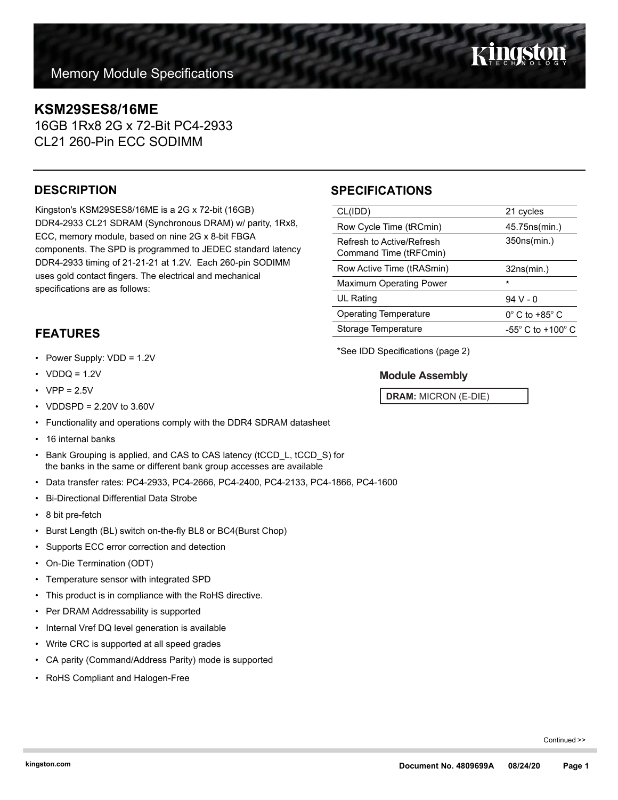# **KSM29SES8/16ME**

16GB 1Rx8 2G x 72-Bit PC4-2933 CL21 260-Pin ECC SODIMM

## **DESCRIPTION**

Kingston's KSM29SES8/16ME is a 2G x 72-bit (16GB) DDR4-2933 CL21 SDRAM (Synchronous DRAM) w/ parity, 1Rx8, ECC, memory module, based on nine 2G x 8-bit FBGA components. The SPD is programmed to JEDEC standard latency DDR4-2933 timing of 21-21-21 at 1.2V. Each 260-pin SODIMM uses gold contact fingers. The electrical and mechanical specifications are as follows:

## **SPECIFICATIONS**

| CL(IDD)                                                    | 21 cycles                     |  |
|------------------------------------------------------------|-------------------------------|--|
| Row Cycle Time (tRCmin)                                    | 45.75ns(min.)                 |  |
| Refresh to Active/Refresh<br>Command Time (tRFCmin)        | 350ns(min.)                   |  |
| Row Active Time (tRASmin)                                  | 32ns(min.)                    |  |
| <b>Maximum Operating Power</b>                             | $\star$                       |  |
| UL Rating                                                  | $94V - 0$                     |  |
| <b>Operating Temperature</b>                               | $0^\circ$ C to +85 $^\circ$ C |  |
| Storage Temperature<br>$-55^{\circ}$ C to $+100^{\circ}$ C |                               |  |
|                                                            |                               |  |

**FEATURES**

- Power Supply: VDD = 1.2V
- $VDDQ = 1.2V$
- $VPP = 2.5V$
- VDDSPD = 2.20V to 3.60V
- Functionality and operations comply with the DDR4 SDRAM datasheet
- 16 internal banks
- Bank Grouping is applied, and CAS to CAS latency (tCCD\_L, tCCD\_S) for the banks in the same or different bank group accesses are available
- Data transfer rates: PC4-2933, PC4-2666, PC4-2400, PC4-2133, PC4-1866, PC4-1600
- Bi-Directional Differential Data Strobe
- 8 bit pre-fetch
- Burst Length (BL) switch on-the-fly BL8 or BC4(Burst Chop)
- Supports ECC error correction and detection
- On-Die Termination (ODT)
- Temperature sensor with integrated SPD
- This product is in compliance with the RoHS directive.
- Per DRAM Addressability is supported
- Internal Vref DQ level generation is available
- Write CRC is supported at all speed grades
- CA parity (Command/Address Parity) mode is supported
- RoHS Compliant and Halogen-Free

\*See IDD Specifications (page 2)

### **Module Assembly**

**DRAM:** MICRON (E-DIE)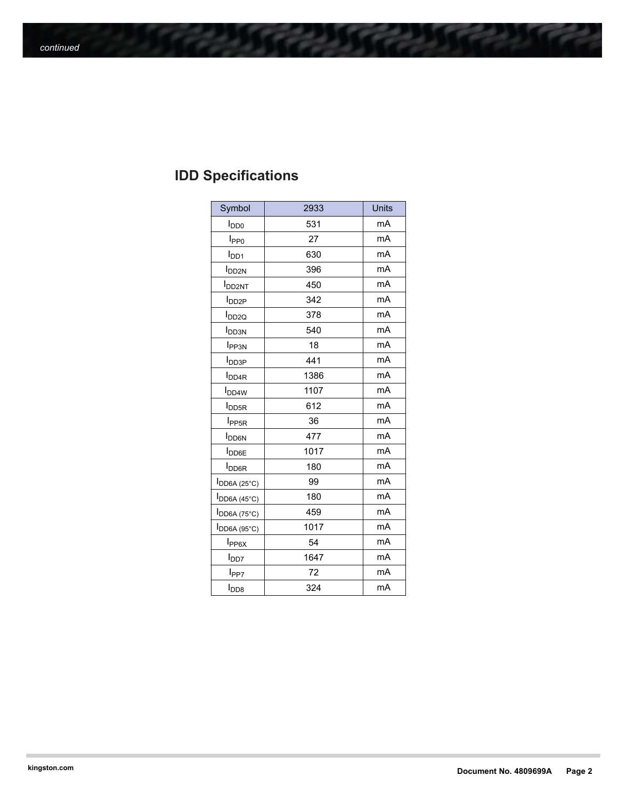| <b>IDD Specifications</b> |
|---------------------------|
|---------------------------|

| Symbol                    | 2933 | <b>Units</b> |
|---------------------------|------|--------------|
| $I_{DD0}$                 | 531  | mA           |
| I <sub>PP0</sub>          | 27   | mA           |
| $I_{DD1}$                 | 630  | mA           |
| <b>I</b> <sub>DD2N</sub>  | 396  | mA           |
| <b>I</b> DD2NT            | 450  | mA           |
| <b>I</b> DD2P             | 342  | mA           |
| I <sub>DD2Q</sub>         | 378  | mA           |
| <b>I</b> <sub>DD3N</sub>  | 540  | mA           |
| <b>I</b> <sub>PP3N</sub>  | 18   | mA           |
| <b>I</b> DD3P             | 441  | mA           |
| <b>I</b> <sub>DD4R</sub>  | 1386 | mA           |
| <b>I</b> <sub>DD4W</sub>  | 1107 | mA           |
| <b>I</b> DD5R             | 612  | mA           |
| I <sub>PP5R</sub>         | 36   | mA           |
| <b>I</b> DD <sub>6N</sub> | 477  | mA           |
| <b>I</b> <sub>DD6E</sub>  | 1017 | mA           |
| <b>I</b> <sub>DD6R</sub>  | 180  | mA           |
| $I_{DD6A(25°C)}$          | 99   | mA           |
| <b>I</b> DD6A (45°C)      | 180  | mA           |
| I <sub>DD6A</sub> (75°C)  | 459  | mA           |
| $I_{DD6A(95°C)}$          | 1017 | mA           |
| $I_{PP6X}$                | 54   | mA           |
| l <sub>DD7</sub>          | 1647 | mA           |
| l <sub>PP7</sub>          | 72   | mA           |
| $I_{\text{DD8}}$          | 324  | mA           |